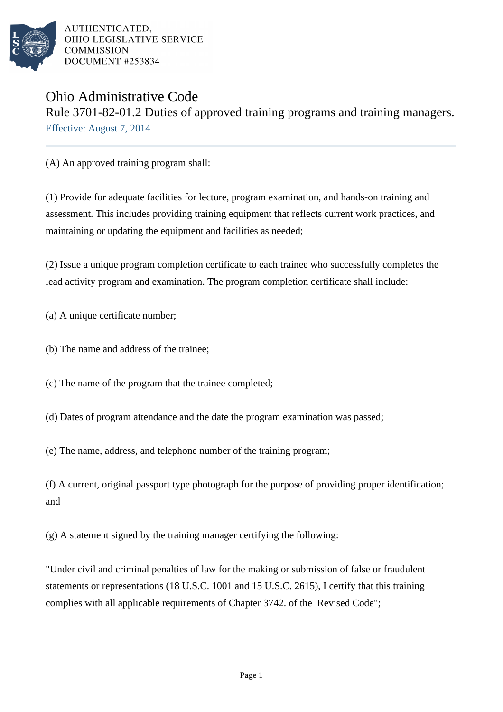

AUTHENTICATED. OHIO LEGISLATIVE SERVICE **COMMISSION** DOCUMENT #253834

## Ohio Administrative Code Rule 3701-82-01.2 Duties of approved training programs and training managers. Effective: August 7, 2014

(A) An approved training program shall:

(1) Provide for adequate facilities for lecture, program examination, and hands-on training and assessment. This includes providing training equipment that reflects current work practices, and maintaining or updating the equipment and facilities as needed;

(2) Issue a unique program completion certificate to each trainee who successfully completes the lead activity program and examination. The program completion certificate shall include:

(a) A unique certificate number;

(b) The name and address of the trainee;

(c) The name of the program that the trainee completed;

(d) Dates of program attendance and the date the program examination was passed;

(e) The name, address, and telephone number of the training program;

(f) A current, original passport type photograph for the purpose of providing proper identification; and

(g) A statement signed by the training manager certifying the following:

"Under civil and criminal penalties of law for the making or submission of false or fraudulent statements or representations (18 U.S.C. 1001 and 15 U.S.C. 2615), I certify that this training complies with all applicable requirements of Chapter 3742. of the Revised Code";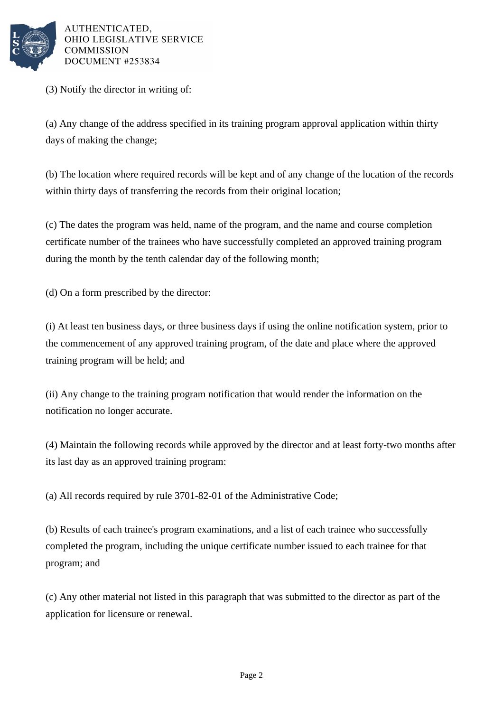

AUTHENTICATED. OHIO LEGISLATIVE SERVICE **COMMISSION** DOCUMENT #253834

(3) Notify the director in writing of:

(a) Any change of the address specified in its training program approval application within thirty days of making the change;

(b) The location where required records will be kept and of any change of the location of the records within thirty days of transferring the records from their original location;

(c) The dates the program was held, name of the program, and the name and course completion certificate number of the trainees who have successfully completed an approved training program during the month by the tenth calendar day of the following month;

(d) On a form prescribed by the director:

(i) At least ten business days, or three business days if using the online notification system, prior to the commencement of any approved training program, of the date and place where the approved training program will be held; and

(ii) Any change to the training program notification that would render the information on the notification no longer accurate.

(4) Maintain the following records while approved by the director and at least forty-two months after its last day as an approved training program:

(a) All records required by rule 3701-82-01 of the Administrative Code;

(b) Results of each trainee's program examinations, and a list of each trainee who successfully completed the program, including the unique certificate number issued to each trainee for that program; and

(c) Any other material not listed in this paragraph that was submitted to the director as part of the application for licensure or renewal.